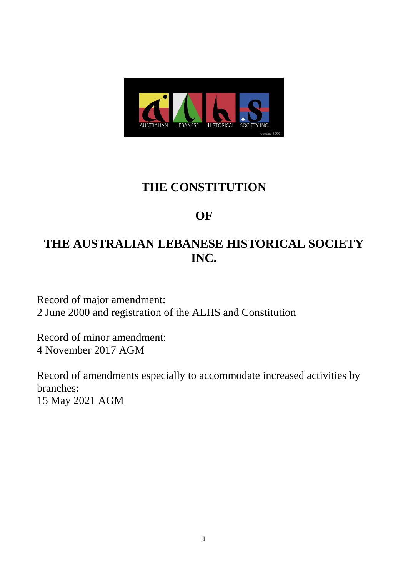

# **THE CONSTITUTION**

# **OF**

# **THE AUSTRALIAN LEBANESE HISTORICAL SOCIETY INC.**

Record of major amendment: 2 June 2000 and registration of the ALHS and Constitution

Record of minor amendment: 4 November 2017 AGM

Record of amendments especially to accommodate increased activities by branches:

15 May 2021 AGM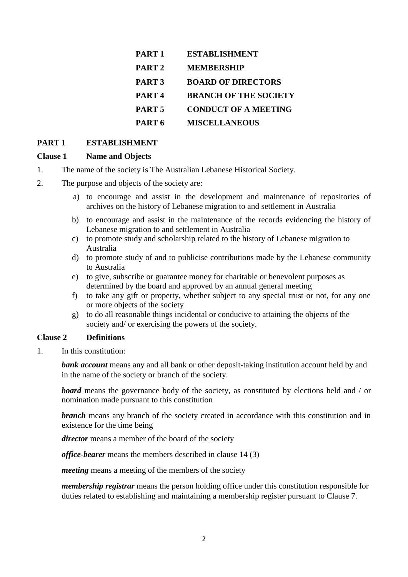| PART <sub>1</sub> | <b>ESTABLISHMENT</b>         |
|-------------------|------------------------------|
| PART <sub>2</sub> | <b>MEMBERSHIP</b>            |
| PART <sub>3</sub> | <b>BOARD OF DIRECTORS</b>    |
| PART <sub>4</sub> | <b>BRANCH OF THE SOCIETY</b> |
| PART <sub>5</sub> | <b>CONDUCT OF A MEETING</b>  |
| PART 6            | <b>MISCELLANEOUS</b>         |

### **PART 1 ESTABLISHMENT**

#### **Clause 1 Name and Objects**

- 1. The name of the society is The Australian Lebanese Historical Society.
- 2. The purpose and objects of the society are:
	- a) to encourage and assist in the development and maintenance of repositories of archives on the history of Lebanese migration to and settlement in Australia
	- b) to encourage and assist in the maintenance of the records evidencing the history of Lebanese migration to and settlement in Australia
	- c) to promote study and scholarship related to the history of Lebanese migration to Australia
	- d) to promote study of and to publicise contributions made by the Lebanese community to Australia
	- e) to give, subscribe or guarantee money for charitable or benevolent purposes as determined by the board and approved by an annual general meeting
	- f) to take any gift or property, whether subject to any special trust or not, for any one or more objects of the society
	- g) to do all reasonable things incidental or conducive to attaining the objects of the society and/ or exercising the powers of the society.

#### **Clause 2 Definitions**

1. In this constitution:

**bank account** means any and all bank or other deposit-taking institution account held by and in the name of the society or branch of the society.

**board** means the governance body of the society, as constituted by elections held and / or nomination made pursuant to this constitution

**branch** means any branch of the society created in accordance with this constitution and in existence for the time being

*director* means a member of the board of the society

*office-bearer* means the members described in clause 14 (3)

*meeting* means a meeting of the members of the society

*membership registrar* means the person holding office under this constitution responsible for duties related to establishing and maintaining a membership register pursuant to Clause 7.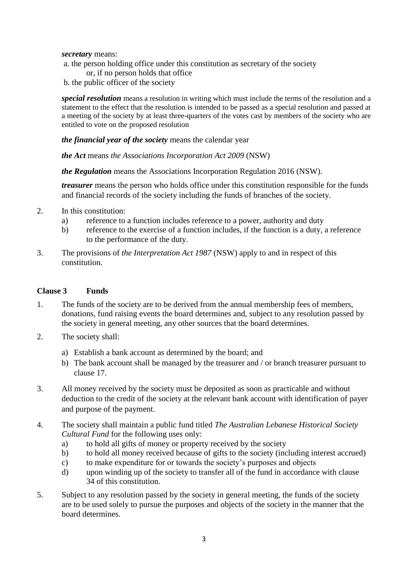*secretary* means:

- a. the person holding office under this constitution as secretary of the society or, if no person holds that office
- b. the public officer of the society

*special resolution* means a resolution in writing which must include the terms of the resolution and a statement to the effect that the resolution is intended to be passed as a special resolution and passed at a meeting of the society by at least three-quarters of the votes cast by members of the society who are entitled to vote on the proposed resolution

*the financial year of the society* means the calendar year

*the Act* means *the [Associations Incorporation Act 2009](http://www.legislation.nsw.gov.au/xref/inforce/?xref=Type%3Dact%20AND%20Year%3D2009%20AND%20no%3D7&nohits=y)* (NSW)

*the Regulation* means the [Associations Incorporation Regulation 2016](http://www.legislation.nsw.gov.au/xref/inforce/?xref=Type%3Dsubordleg%20AND%20Year%3D2010%20AND%20No%3D238&nohits=y) (NSW).

*treasurer* means the person who holds office under this constitution responsible for the funds and financial records of the society including the funds of branches of the society.

- 2. In this constitution:
	- a) reference to a function includes reference to a power, authority and duty
	- b) reference to the exercise of a function includes, if the function is a duty, a reference to the performance of the duty.
- 3. The provisions of *the [Interpretation Act 1987](http://www.legislation.nsw.gov.au/xref/inforce/?xref=Type%3Dact%20AND%20Year%3D1987%20AND%20no%3D15&nohits=y)* (NSW) apply to and in respect of this constitution.

#### **Clause 3 Funds**

- 1. The funds of the society are to be derived from the annual membership fees of members, donations, fund raising events the board determines and, subject to any resolution passed by the society in general meeting, any other sources that the board determines.
- 2. The society shall:
	- a) Establish a bank account as determined by the board; and
	- b) The bank account shall be managed by the treasurer and / or branch treasurer pursuant to clause 17.
- 3. All money received by the society must be deposited as soon as practicable and without deduction to the credit of the society at the relevant bank account with identification of payer and purpose of the payment.
- 4. The society shall maintain a public fund titled *The Australian Lebanese Historical Society Cultural Fund* for the following uses only:
	- a) to hold all gifts of money or property received by the society
	- b) to hold all money received because of gifts to the society (including interest accrued)
	- c) to make expenditure for or towards the society's purposes and objects
	- d) upon winding up of the society to transfer all of the fund in accordance with clause 34 of this constitution.
- 5. Subject to any resolution passed by the society in general meeting, the funds of the society are to be used solely to pursue the purposes and objects of the society in the manner that the board determines.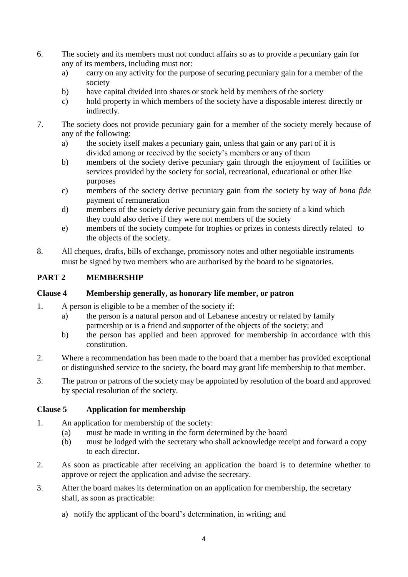- 6. The society and its members must not conduct affairs so as to provide a pecuniary gain for any of its members, including must not:
	- a) carry on any activity for the purpose of securing pecuniary gain for a member of the society
	- b) have capital divided into shares or stock held by members of the society
	- c) hold property in which members of the society have a disposable interest directly or indirectly.
- 7. The society does not provide pecuniary gain for a member of the society merely because of any of the following:
	- a) the society itself makes a pecuniary gain, unless that gain or any part of it is divided among or received by the society's members or any of them
	- b) members of the society derive pecuniary gain through the enjoyment of facilities or services provided by the society for social, recreational, educational or other like purposes
	- c) members of the society derive pecuniary gain from the society by way of *bona fide* payment of remuneration
	- d) members of the society derive pecuniary gain from the society of a kind which they could also derive if they were not members of the society
	- e) members of the society compete for trophies or prizes in contests directly related to the objects of the society.
- 8. All cheques, drafts, bills of exchange, promissory notes and other negotiable instruments must be signed by two members who are authorised by the board to be signatories.

# **PART 2 MEMBERSHIP**

## **Clause 4 Membership generally, as honorary life member, or patron**

- 1. A person is eligible to be a member of the society if:
	- a) the person is a natural person and of Lebanese ancestry or related by family partnership or is a friend and supporter of the objects of the society; and
	- b) the person has applied and been approved for membership in accordance with this constitution.
- 2. Where a recommendation has been made to the board that a member has provided exceptional or distinguished service to the society, the board may grant life membership to that member.
- 3. The patron or patrons of the society may be appointed by resolution of the board and approved by special resolution of the society.

## **Clause 5 Application for membership**

- 1. An application for membership of the society:
	- (a) must be made in writing in the form determined by the board
	- (b) must be lodged with the secretary who shall acknowledge receipt and forward a copy to each director.
- 2. As soon as practicable after receiving an application the board is to determine whether to approve or reject the application and advise the secretary.
- 3. After the board makes its determination on an application for membership, the secretary shall, as soon as practicable:
	- a) notify the applicant of the board's determination, in writing; and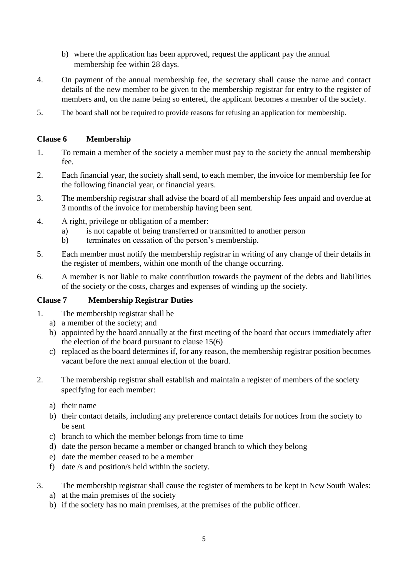- b) where the application has been approved, request the applicant pay the annual membership fee within 28 days.
- 4. On payment of the annual membership fee, the secretary shall cause the name and contact details of the new member to be given to the membership registrar for entry to the register of members and, on the name being so entered, the applicant becomes a member of the society.
- 5. The board shall not be required to provide reasons for refusing an application for membership.

# **Clause 6 Membership**

- 1. To remain a member of the society a member must pay to the society the annual membership fee.
- 2. Each financial year, the society shall send, to each member, the invoice for membership fee for the following financial year, or financial years.
- 3. The membership registrar shall advise the board of all membership fees unpaid and overdue at 3 months of the invoice for membership having been sent.
- 4. A right, privilege or obligation of a member:
	- a) is not capable of being transferred or transmitted to another person
	- b) terminates on cessation of the person's membership.
- 5. Each member must notify the membership registrar in writing of any change of their details in the register of members, within one month of the change occurring.
- 6. A member is not liable to make contribution towards the payment of the debts and liabilities of the society or the costs, charges and expenses of winding up the society.

## **Clause 7 Membership Registrar Duties**

- 1. The membership registrar shall be
	- a) a member of the society; and
	- b) appointed by the board annually at the first meeting of the board that occurs immediately after the election of the board pursuant to clause 15(6)
	- c) replaced as the board determines if, for any reason, the membership registrar position becomes vacant before the next annual election of the board.
- 2. The membership registrar shall establish and maintain a register of members of the society specifying for each member:
	- a) their name
	- b) their contact details, including any preference contact details for notices from the society to be sent
	- c) branch to which the member belongs from time to time
	- d) date the person became a member or changed branch to which they belong
	- e) date the member ceased to be a member
	- f) date /s and position/s held within the society.
- 3. The membership registrar shall cause the register of members to be kept in New South Wales:
	- a) at the main premises of the society
	- b) if the society has no main premises, at the premises of the public officer.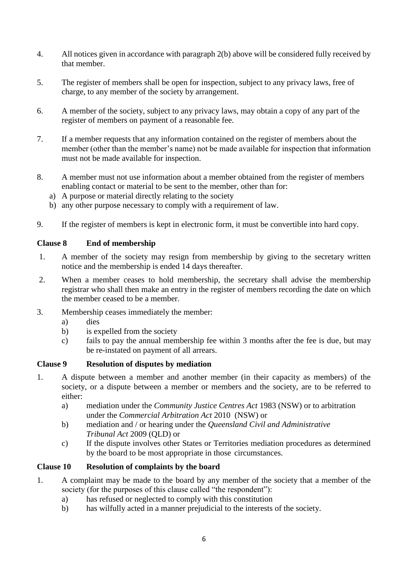- 4. All notices given in accordance with paragraph 2(b) above will be considered fully received by that member.
- 5. The register of members shall be open for inspection, subject to any privacy laws, free of charge, to any member of the society by arrangement.
- 6. A member of the society, subject to any privacy laws, may obtain a copy of any part of the register of members on payment of a reasonable fee.
- 7. If a member requests that any information contained on the register of members about the member (other than the member's name) not be made available for inspection that information must not be made available for inspection.
- 8. A member must not use information about a member obtained from the register of members enabling contact or material to be sent to the member, other than for:
	- a) A purpose or material directly relating to the society
	- b) any other purpose necessary to comply with a requirement of law.
- 9. If the register of members is kept in electronic form, it must be convertible into hard copy.

# **Clause 8 End of membership**

- 1. A member of the society may resign from membership by giving to the secretary written notice and the membership is ended 14 days thereafter.
- 2. When a member ceases to hold membership, the secretary shall advise the membership registrar who shall then make an entry in the register of members recording the date on which the member ceased to be a member.
- 3. Membership ceases immediately the member:
	- a) dies
	- b) is expelled from the society
	- c) fails to pay the annual membership fee within 3 months after the fee is due, but may be re-instated on payment of all arrears.

## **Clause 9 Resolution of disputes by mediation**

- 1. A dispute between a member and another member (in their capacity as members) of the society, or a dispute between a member or members and the society, are to be referred to either:
	- a) mediation under the *Community Justice Centres Act* 1983 (NSW) or to arbitration under the *Commercial Arbitration Act* 2010 (NSW) or
	- b) mediation and / or hearing under the *Queensland Civil and Administrative Tribunal Act* 2009 (QLD) or
	- c) If the dispute involves other States or Territories mediation procedures as determined by the board to be most appropriate in those circumstances.

## **Clause 10 Resolution of complaints by the board**

- 1. A complaint may be made to the board by any member of the society that a member of the society (for the purposes of this clause called "the respondent"):
	- a) has refused or neglected to comply with this constitution
	- b) has wilfully acted in a manner prejudicial to the interests of the society.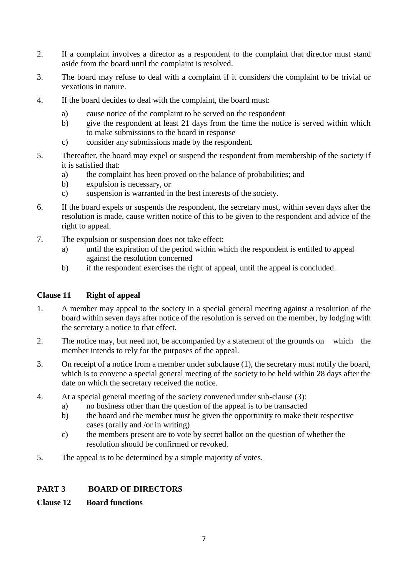- 2. If a complaint involves a director as a respondent to the complaint that director must stand aside from the board until the complaint is resolved.
- 3. The board may refuse to deal with a complaint if it considers the complaint to be trivial or vexatious in nature.
- 4. If the board decides to deal with the complaint, the board must:
	- a) cause notice of the complaint to be served on the respondent
	- b) give the respondent at least 21 days from the time the notice is served within which to make submissions to the board in response
	- c) consider any submissions made by the respondent.
- 5. Thereafter, the board may expel or suspend the respondent from membership of the society if it is satisfied that:
	- a) the complaint has been proved on the balance of probabilities; and
	- b) expulsion is necessary, or
	- c) suspension is warranted in the best interests of the society.
- 6. If the board expels or suspends the respondent, the secretary must, within seven days after the resolution is made, cause written notice of this to be given to the respondent and advice of the right to appeal.
- 7. The expulsion or suspension does not take effect:
	- a) until the expiration of the period within which the respondent is entitled to appeal against the resolution concerned
	- b) if the respondent exercises the right of appeal, until the appeal is concluded.

# **Clause 11 Right of appeal**

- 1. A member may appeal to the society in a special general meeting against a resolution of the board within seven days after notice of the resolution is served on the member, by lodging with the secretary a notice to that effect.
- 2. The notice may, but need not, be accompanied by a statement of the grounds on which the member intends to rely for the purposes of the appeal.
- 3. On receipt of a notice from a member under subclause (1), the secretary must notify the board, which is to convene a special general meeting of the society to be held within 28 days after the date on which the secretary received the notice.
- 4. At a special general meeting of the society convened under sub-clause (3):
	- a) no business other than the question of the appeal is to be transacted
	- b) the board and the member must be given the opportunity to make their respective cases (orally and /or in writing)
	- c) the members present are to vote by secret ballot on the question of whether the resolution should be confirmed or revoked.
- 5. The appeal is to be determined by a simple majority of votes.

# **PART 3 BOARD OF DIRECTORS**

# **Clause 12 Board functions**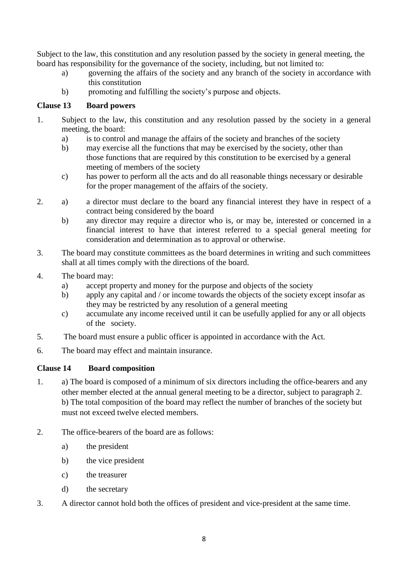Subject to the law, this constitution and any resolution passed by the society in general meeting, the board has responsibility for the governance of the society, including, but not limited to:

- a) governing the affairs of the society and any branch of the society in accordance with this constitution
- b) promoting and fulfilling the society's purpose and objects.

# **Clause 13 Board powers**

- 1. Subject to the law, this constitution and any resolution passed by the society in a general meeting, the board:
	- a) is to control and manage the affairs of the society and branches of the society
	- b) may exercise all the functions that may be exercised by the society, other than those functions that are required by this constitution to be exercised by a general meeting of members of the society
	- c) has power to perform all the acts and do all reasonable things necessary or desirable for the proper management of the affairs of the society.
- 2. a) a director must declare to the board any financial interest they have in respect of a contract being considered by the board
	- b) any director may require a director who is, or may be, interested or concerned in a financial interest to have that interest referred to a special general meeting for consideration and determination as to approval or otherwise.
- 3. The board may constitute committees as the board determines in writing and such committees shall at all times comply with the directions of the board.
- 4. The board may:
	- a) accept property and money for the purpose and objects of the society
	- b) apply any capital and / or income towards the objects of the society except insofar as they may be restricted by any resolution of a general meeting
	- c) accumulate any income received until it can be usefully applied for any or all objects of the society.
- 5. The board must ensure a public officer is appointed in accordance with the Act.
- 6. The board may effect and maintain insurance.

# **Clause 14 Board composition**

- 1. a) The board is composed of a minimum of six directors including the office-bearers and any other member elected at the annual general meeting to be a director, subject to paragraph 2. b) The total composition of the board may reflect the number of branches of the society but must not exceed twelve elected members.
- 2. The office-bearers of the board are as follows:
	- a) the president
	- b) the vice president
	- c) the treasurer
	- d) the secretary
- 3. A director cannot hold both the offices of president and vice-president at the same time.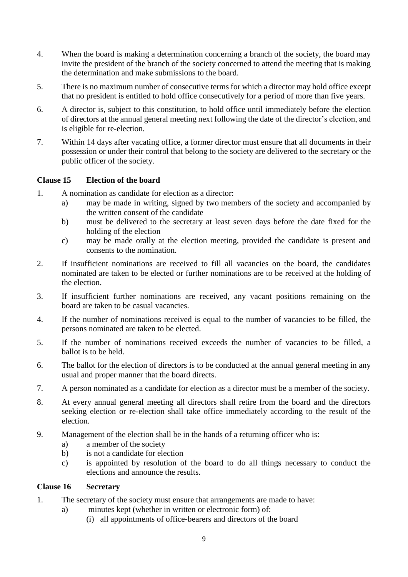- 4. When the board is making a determination concerning a branch of the society, the board may invite the president of the branch of the society concerned to attend the meeting that is making the determination and make submissions to the board.
- 5. There is no maximum number of consecutive terms for which a director may hold office except that no president is entitled to hold office consecutively for a period of more than five years.
- 6. A director is, subject to this constitution, to hold office until immediately before the election of directors at the annual general meeting next following the date of the director's election, and is eligible for re-election.
- 7. Within 14 days after vacating office, a former director must ensure that all documents in their possession or under their control that belong to the society are delivered to the secretary or the public officer of the society.

## **Clause 15 Election of the board**

- 1. A nomination as candidate for election as a director:
	- a) may be made in writing, signed by two members of the society and accompanied by the written consent of the candidate
	- b) must be delivered to the secretary at least seven days before the date fixed for the holding of the election
	- c) may be made orally at the election meeting, provided the candidate is present and consents to the nomination.
- 2. If insufficient nominations are received to fill all vacancies on the board, the candidates nominated are taken to be elected or further nominations are to be received at the holding of the election.
- 3. If insufficient further nominations are received, any vacant positions remaining on the board are taken to be casual vacancies.
- 4. If the number of nominations received is equal to the number of vacancies to be filled, the persons nominated are taken to be elected.
- 5. If the number of nominations received exceeds the number of vacancies to be filled, a ballot is to be held.
- 6. The ballot for the election of directors is to be conducted at the annual general meeting in any usual and proper manner that the board directs.
- 7. A person nominated as a candidate for election as a director must be a member of the society.
- 8. At every annual general meeting all directors shall retire from the board and the directors seeking election or re-election shall take office immediately according to the result of the election.
- 9. Management of the election shall be in the hands of a returning officer who is:
	- a) a member of the society
	- b) is not a candidate for election
	- c) is appointed by resolution of the board to do all things necessary to conduct the elections and announce the results.

#### **Clause 16 Secretary**

- 1. The secretary of the society must ensure that arrangements are made to have:
	- a) minutes kept (whether in written or electronic form) of:
		- (i) all appointments of office-bearers and directors of the board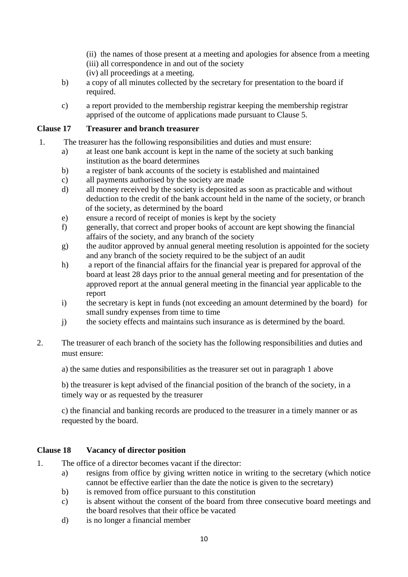- (ii) the names of those present at a meeting and apologies for absence from a meeting
- (iii) all correspondence in and out of the society
- (iv) all proceedings at a meeting.
- b) a copy of all minutes collected by the secretary for presentation to the board if required.
- c) a report provided to the membership registrar keeping the membership registrar apprised of the outcome of applications made pursuant to Clause 5.

# **Clause 17 Treasurer and branch treasurer**

- 1. The treasurer has the following responsibilities and duties and must ensure:
	- a) at least one bank account is kept in the name of the society at such banking institution as the board determines
	- b) a register of bank accounts of the society is established and maintained
	- c) all payments authorised by the society are made
	- d) all money received by the society is deposited as soon as practicable and without deduction to the credit of the bank account held in the name of the society, or branch of the society, as determined by the board
	- e) ensure a record of receipt of monies is kept by the society
	- f) generally, that correct and proper books of account are kept showing the financial affairs of the society, and any branch of the society
	- g) the auditor approved by annual general meeting resolution is appointed for the society and any branch of the society required to be the subject of an audit
	- h) a report of the financial affairs for the financial year is prepared for approval of the board at least 28 days prior to the annual general meeting and for presentation of the approved report at the annual general meeting in the financial year applicable to the report
	- i) the secretary is kept in funds (not exceeding an amount determined by the board) for small sundry expenses from time to time
	- j) the society effects and maintains such insurance as is determined by the board.
- 2. The treasurer of each branch of the society has the following responsibilities and duties and must ensure:

a) the same duties and responsibilities as the treasurer set out in paragraph 1 above

b) the treasurer is kept advised of the financial position of the branch of the society, in a timely way or as requested by the treasurer

c) the financial and banking records are produced to the treasurer in a timely manner or as requested by the board.

# **Clause 18 Vacancy of director position**

- 1. The office of a director becomes vacant if the director:
	- a) resigns from office by giving written notice in writing to the secretary (which notice cannot be effective earlier than the date the notice is given to the secretary)
	- b) is removed from office pursuant to this constitution
	- c) is absent without the consent of the board from three consecutive board meetings and the board resolves that their office be vacated
	- d) is no longer a financial member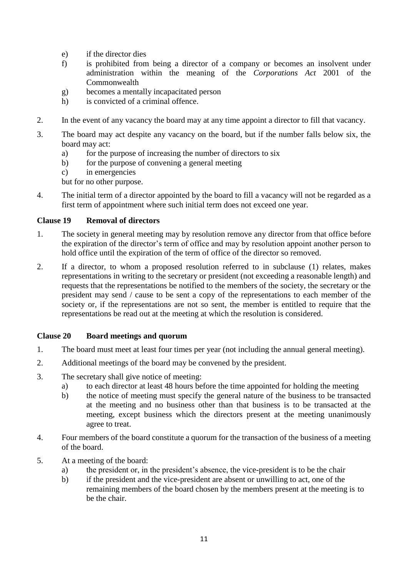- e) if the director dies
- f) is prohibited from being a director of a company or becomes an insolvent under administration within the meaning of the *[Corporations Act](http://www.comlaw.gov.au/)* 2001 of the **Commonwealth**
- g) becomes a mentally incapacitated person
- h) is convicted of a criminal offence.
- 2. In the event of any vacancy the board may at any time appoint a director to fill that vacancy.
- 3. The board may act despite any vacancy on the board, but if the number falls below six, the board may act:
	- a) for the purpose of increasing the number of directors to six
	- b) for the purpose of convening a general meeting
	- c) in emergencies

but for no other purpose.

4. The initial term of a director appointed by the board to fill a vacancy will not be regarded as a first term of appointment where such initial term does not exceed one year.

### **Clause 19 Removal of directors**

- 1. The society in general meeting may by resolution remove any director from that office before the expiration of the director's term of office and may by resolution appoint another person to hold office until the expiration of the term of office of the director so removed.
- 2. If a director, to whom a proposed resolution referred to in subclause (1) relates, makes representations in writing to the secretary or president (not exceeding a reasonable length) and requests that the representations be notified to the members of the society, the secretary or the president may send / cause to be sent a copy of the representations to each member of the society or, if the representations are not so sent, the member is entitled to require that the representations be read out at the meeting at which the resolution is considered.

## **Clause 20 Board meetings and quorum**

- 1. The board must meet at least four times per year (not including the annual general meeting).
- 2. Additional meetings of the board may be convened by the president.
- 3. The secretary shall give notice of meeting:
	- a) to each director at least 48 hours before the time appointed for holding the meeting
	- b) the notice of meeting must specify the general nature of the business to be transacted at the meeting and no business other than that business is to be transacted at the meeting, except business which the directors present at the meeting unanimously agree to treat.
- 4. Four members of the board constitute a quorum for the transaction of the business of a meeting of the board.
- 5. At a meeting of the board:
	- a) the president or, in the president's absence, the vice-president is to be the chair
	- b) if the president and the vice-president are absent or unwilling to act, one of the remaining members of the board chosen by the members present at the meeting is to be the chair.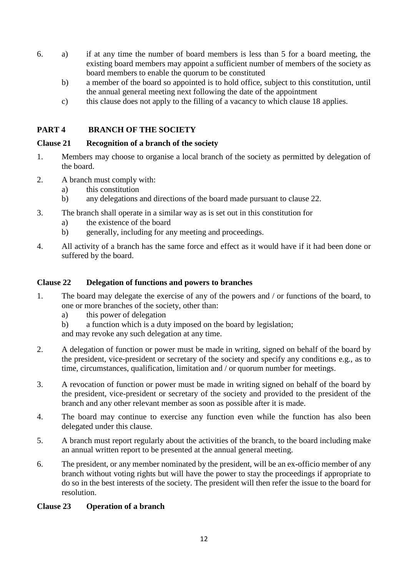- 6. a) if at any time the number of board members is less than 5 for a board meeting, the existing board members may appoint a sufficient number of members of the society as board members to enable the quorum to be constituted
	- b) a member of the board so appointed is to hold office, subject to this constitution, until the annual general meeting next following the date of the appointment
	- c) this clause does not apply to the filling of a vacancy to which clause 18 applies.

# **PART 4 BRANCH OF THE SOCIETY**

# **Clause 21 Recognition of a branch of the society**

- 1. Members may choose to organise a local branch of the society as permitted by delegation of the board.
- 2. A branch must comply with:
	- a) this constitution
	- b) any delegations and directions of the board made pursuant to clause 22.
- 3. The branch shall operate in a similar way as is set out in this constitution for
	- a) the existence of the board
	- b) generally, including for any meeting and proceedings.
- 4. All activity of a branch has the same force and effect as it would have if it had been done or suffered by the board.

# **Clause 22 Delegation of functions and powers to branches**

- 1. The board may delegate the exercise of any of the powers and / or functions of the board, to one or more branches of the society, other than:
	- a) this power of delegation
	- b) a function which is a duty imposed on the board by legislation;
	- and may revoke any such delegation at any time.
- 2. A delegation of function or power must be made in writing, signed on behalf of the board by the president, vice-president or secretary of the society and specify any conditions e.g., as to time, circumstances, qualification, limitation and / or quorum number for meetings.
- 3. A revocation of function or power must be made in writing signed on behalf of the board by the president, vice-president or secretary of the society and provided to the president of the branch and any other relevant member as soon as possible after it is made.
- 4. The board may continue to exercise any function even while the function has also been delegated under this clause.
- 5. A branch must report regularly about the activities of the branch, to the board including make an annual written report to be presented at the annual general meeting.
- 6. The president, or any member nominated by the president, will be an ex-officio member of any branch without voting rights but will have the power to stay the proceedings if appropriate to do so in the best interests of the society. The president will then refer the issue to the board for resolution.

## **Clause 23 Operation of a branch**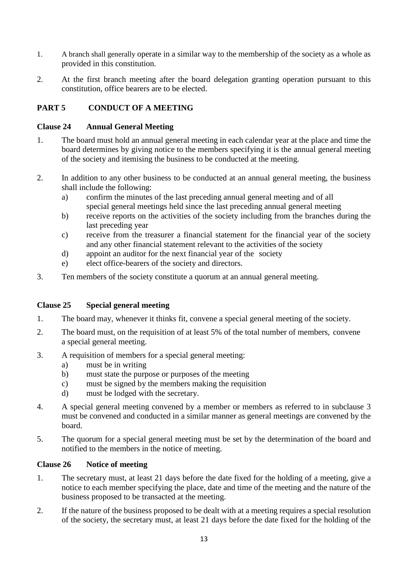- 1. A branch shall generally operate in a similar way to the membership of the society as a whole as provided in this constitution.
- 2. At the first branch meeting after the board delegation granting operation pursuant to this constitution, office bearers are to be elected.

# **PART 5 CONDUCT OF A MEETING**

# **Clause 24 Annual General Meeting**

- 1. The board must hold an annual general meeting in each calendar year at the place and time the board determines by giving notice to the members specifying it is the annual general meeting of the society and itemising the business to be conducted at the meeting.
- 2. In addition to any other business to be conducted at an annual general meeting, the business shall include the following:
	- a) confirm the minutes of the last preceding annual general meeting and of all special general meetings held since the last preceding annual general meeting
	- b) receive reports on the activities of the society including from the branches during the last preceding year
	- c) receive from the treasurer a financial statement for the financial year of the society and any other financial statement relevant to the activities of the society
	- d) appoint an auditor for the next financial year of the society
	- e) elect office-bearers of the society and directors.
- 3. Ten members of the society constitute a quorum at an annual general meeting.

## **Clause 25 Special general meeting**

- 1. The board may, whenever it thinks fit, convene a special general meeting of the society.
- 2. The board must, on the requisition of at least 5% of the total number of members, convene a special general meeting.
- 3. A requisition of members for a special general meeting:
	- a) must be in writing
	- b) must state the purpose or purposes of the meeting
	- c) must be signed by the members making the requisition
	- d) must be lodged with the secretary.
- 4. A special general meeting convened by a member or members as referred to in subclause 3 must be convened and conducted in a similar manner as general meetings are convened by the board.
- 5. The quorum for a special general meeting must be set by the determination of the board and notified to the members in the notice of meeting.

## **Clause 26 Notice of meeting**

- 1. The secretary must, at least 21 days before the date fixed for the holding of a meeting, give a notice to each member specifying the place, date and time of the meeting and the nature of the business proposed to be transacted at the meeting.
- 2. If the nature of the business proposed to be dealt with at a meeting requires a special resolution of the society, the secretary must, at least 21 days before the date fixed for the holding of the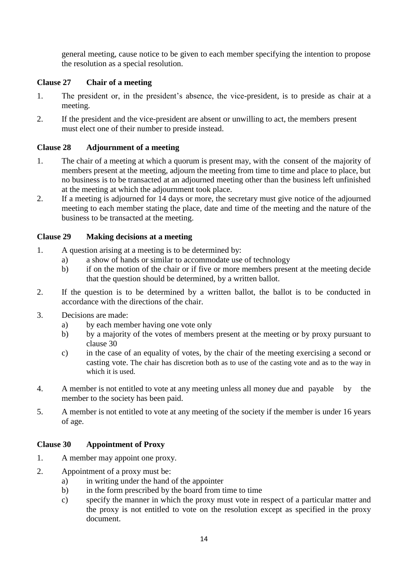general meeting, cause notice to be given to each member specifying the intention to propose the resolution as a special resolution.

# **Clause 27 Chair of a meeting**

- 1. The president or, in the president's absence, the vice-president, is to preside as chair at a meeting.
- 2. If the president and the vice-president are absent or unwilling to act, the members present must elect one of their number to preside instead.

# **Clause 28 Adjournment of a meeting**

- 1. The chair of a meeting at which a quorum is present may, with the consent of the majority of members present at the meeting, adjourn the meeting from time to time and place to place, but no business is to be transacted at an adjourned meeting other than the business left unfinished at the meeting at which the adjournment took place.
- 2. If a meeting is adjourned for 14 days or more, the secretary must give notice of the adjourned meeting to each member stating the place, date and time of the meeting and the nature of the business to be transacted at the meeting.

# **Clause 29 Making decisions at a meeting**

- 1. A question arising at a meeting is to be determined by:
	- a) a show of hands or similar to accommodate use of technology
	- b) if on the motion of the chair or if five or more members present at the meeting decide that the question should be determined, by a written ballot.
- 2. If the question is to be determined by a written ballot, the ballot is to be conducted in accordance with the directions of the chair.
- 3. Decisions are made:
	- a) by each member having one vote only
	- b) by a majority of the votes of members present at the meeting or by proxy pursuant to clause 30
	- c) in the case of an equality of votes, by the chair of the meeting exercising a second or casting vote. The chair has discretion both as to use of the casting vote and as to the way in which it is used.
- 4. A member is not entitled to vote at any meeting unless all money due and payable by the member to the society has been paid.
- 5. A member is not entitled to vote at any meeting of the society if the member is under 16 years of age.

# **Clause 30 Appointment of Proxy**

- 1. A member may appoint one proxy.
- 2. Appointment of a proxy must be:
	- a) in writing under the hand of the appointer
	- b) in the form prescribed by the board from time to time
	- c) specify the manner in which the proxy must vote in respect of a particular matter and the proxy is not entitled to vote on the resolution except as specified in the proxy document.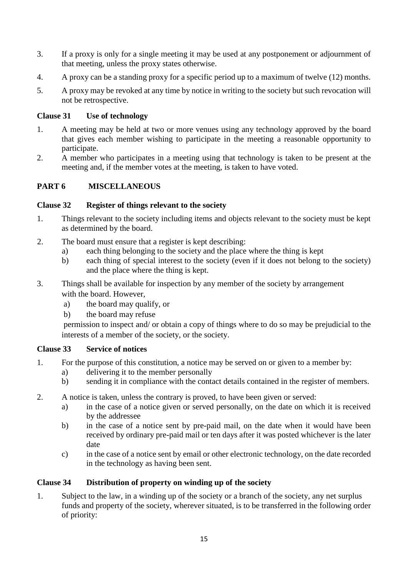- 3. If a proxy is only for a single meeting it may be used at any postponement or adjournment of that meeting, unless the proxy states otherwise.
- 4. A proxy can be a standing proxy for a specific period up to a maximum of twelve (12) months.
- 5. A proxy may be revoked at any time by notice in writing to the society but such revocation will not be retrospective.

# **Clause 31 Use of technology**

- 1. A meeting may be held at two or more venues using any technology approved by the board that gives each member wishing to participate in the meeting a reasonable opportunity to participate.
- 2. A member who participates in a meeting using that technology is taken to be present at the meeting and, if the member votes at the meeting, is taken to have voted.

# **PART 6 MISCELLANEOUS**

## **Clause 32 Register of things relevant to the society**

- 1. Things relevant to the society including items and objects relevant to the society must be kept as determined by the board.
- 2. The board must ensure that a register is kept describing:
	- a) each thing belonging to the society and the place where the thing is kept
	- b) each thing of special interest to the society (even if it does not belong to the society) and the place where the thing is kept.
- 3. Things shall be available for inspection by any member of the society by arrangement with the board. However,
	- a) the board may qualify, or
	- b) the board may refuse

permission to inspect and/ or obtain a copy of things where to do so may be prejudicial to the interests of a member of the society, or the society.

## **Clause 33 Service of notices**

- 1. For the purpose of this constitution, a notice may be served on or given to a member by:
	- a) delivering it to the member personally
	- b) sending it in compliance with the contact details contained in the register of members.
- 2. A notice is taken, unless the contrary is proved, to have been given or served:
	- a) in the case of a notice given or served personally, on the date on which it is received by the addressee
	- b) in the case of a notice sent by pre-paid mail, on the date when it would have been received by ordinary pre-paid mail or ten days after it was posted whichever is the later date
	- c) in the case of a notice sent by email or other electronic technology, on the date recorded in the technology as having been sent.

## **Clause 34 Distribution of property on winding up of the society**

1. Subject to the law, in a winding up of the society or a branch of the society, any net surplus funds and property of the society, wherever situated, is to be transferred in the following order of priority: